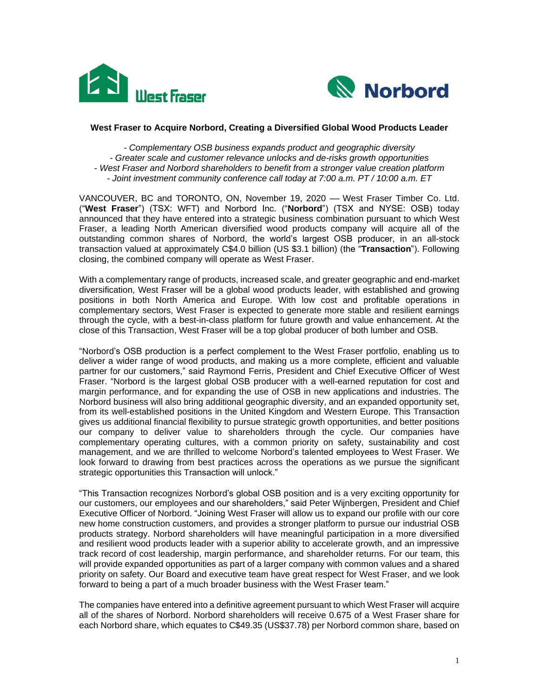



#### **West Fraser to Acquire Norbord, Creating a Diversified Global Wood Products Leader**

*- Complementary OSB business expands product and geographic diversity - Greater scale and customer relevance unlocks and de-risks growth opportunities - West Fraser and Norbord shareholders to benefit from a stronger value creation platform - Joint investment community conference call today at 7:00 a.m. PT / 10:00 a.m. ET*

VANCOUVER, BC and TORONTO, ON, November 19, 2020 - West Fraser Timber Co. Ltd. ("**West Fraser**") (TSX: WFT) and Norbord Inc. ("**Norbord**") (TSX and NYSE: OSB) today announced that they have entered into a strategic business combination pursuant to which West Fraser, a leading North American diversified wood products company will acquire all of the outstanding common shares of Norbord, the world's largest OSB producer, in an all-stock transaction valued at approximately C\$4.0 billion (US \$3.1 billion) (the "**Transaction**"). Following closing, the combined company will operate as West Fraser.

With a complementary range of products, increased scale, and greater geographic and end-market diversification, West Fraser will be a global wood products leader, with established and growing positions in both North America and Europe. With low cost and profitable operations in complementary sectors, West Fraser is expected to generate more stable and resilient earnings through the cycle, with a best-in-class platform for future growth and value enhancement. At the close of this Transaction, West Fraser will be a top global producer of both lumber and OSB.

"Norbord's OSB production is a perfect complement to the West Fraser portfolio, enabling us to deliver a wider range of wood products, and making us a more complete, efficient and valuable partner for our customers," said Raymond Ferris, President and Chief Executive Officer of West Fraser. "Norbord is the largest global OSB producer with a well-earned reputation for cost and margin performance, and for expanding the use of OSB in new applications and industries. The Norbord business will also bring additional geographic diversity, and an expanded opportunity set, from its well-established positions in the United Kingdom and Western Europe. This Transaction gives us additional financial flexibility to pursue strategic growth opportunities, and better positions our company to deliver value to shareholders through the cycle. Our companies have complementary operating cultures, with a common priority on safety, sustainability and cost management, and we are thrilled to welcome Norbord's talented employees to West Fraser. We look forward to drawing from best practices across the operations as we pursue the significant strategic opportunities this Transaction will unlock."

"This Transaction recognizes Norbord's global OSB position and is a very exciting opportunity for our customers, our employees and our shareholders," said Peter Wijnbergen, President and Chief Executive Officer of Norbord. "Joining West Fraser will allow us to expand our profile with our core new home construction customers, and provides a stronger platform to pursue our industrial OSB products strategy. Norbord shareholders will have meaningful participation in a more diversified and resilient wood products leader with a superior ability to accelerate growth, and an impressive track record of cost leadership, margin performance, and shareholder returns. For our team, this will provide expanded opportunities as part of a larger company with common values and a shared priority on safety. Our Board and executive team have great respect for West Fraser, and we look forward to being a part of a much broader business with the West Fraser team."

The companies have entered into a definitive agreement pursuant to which West Fraser will acquire all of the shares of Norbord. Norbord shareholders will receive 0.675 of a West Fraser share for each Norbord share, which equates to C\$49.35 (US\$37.78) per Norbord common share, based on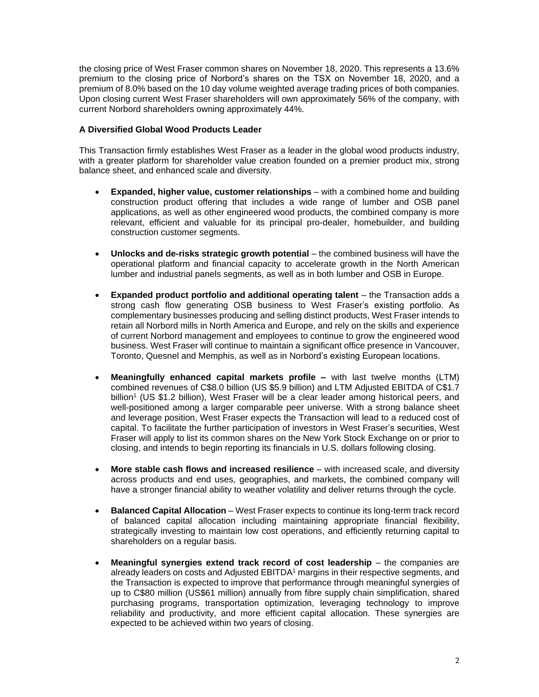the closing price of West Fraser common shares on November 18, 2020. This represents a 13.6% premium to the closing price of Norbord's shares on the TSX on November 18, 2020, and a premium of 8.0% based on the 10 day volume weighted average trading prices of both companies. Upon closing current West Fraser shareholders will own approximately 56% of the company, with current Norbord shareholders owning approximately 44%.

# **A Diversified Global Wood Products Leader**

This Transaction firmly establishes West Fraser as a leader in the global wood products industry, with a greater platform for shareholder value creation founded on a premier product mix, strong balance sheet, and enhanced scale and diversity.

- **Expanded, higher value, customer relationships** with a combined home and building construction product offering that includes a wide range of lumber and OSB panel applications, as well as other engineered wood products, the combined company is more relevant, efficient and valuable for its principal pro-dealer, homebuilder, and building construction customer segments.
- **Unlocks and de-risks strategic growth potential** the combined business will have the operational platform and financial capacity to accelerate growth in the North American lumber and industrial panels segments, as well as in both lumber and OSB in Europe.
- **Expanded product portfolio and additional operating talent** the Transaction adds a strong cash flow generating OSB business to West Fraser's existing portfolio. As complementary businesses producing and selling distinct products, West Fraser intends to retain all Norbord mills in North America and Europe, and rely on the skills and experience of current Norbord management and employees to continue to grow the engineered wood business. West Fraser will continue to maintain a significant office presence in Vancouver, Toronto, Quesnel and Memphis, as well as in Norbord's existing European locations.
- **Meaningfully enhanced capital markets profile –** with last twelve months (LTM) combined revenues of C\$8.0 billion (US \$5.9 billion) and LTM Adjusted EBITDA of C\$1.7 billion<sup>1</sup> (US \$1.2 billion), West Fraser will be a clear leader among historical peers, and well-positioned among a larger comparable peer universe. With a strong balance sheet and leverage position, West Fraser expects the Transaction will lead to a reduced cost of capital. To facilitate the further participation of investors in West Fraser's securities, West Fraser will apply to list its common shares on the New York Stock Exchange on or prior to closing, and intends to begin reporting its financials in U.S. dollars following closing.
- **More stable cash flows and increased resilience** with increased scale, and diversity across products and end uses, geographies, and markets, the combined company will have a stronger financial ability to weather volatility and deliver returns through the cycle.
- **Balanced Capital Allocation** West Fraser expects to continue its long-term track record of balanced capital allocation including maintaining appropriate financial flexibility, strategically investing to maintain low cost operations, and efficiently returning capital to shareholders on a regular basis.
- Meaningful synergies extend track record of cost leadership the companies are already leaders on costs and Adjusted EBITDA<sup>1</sup> margins in their respective segments, and the Transaction is expected to improve that performance through meaningful synergies of up to C\$80 million (US\$61 million) annually from fibre supply chain simplification, shared purchasing programs, transportation optimization, leveraging technology to improve reliability and productivity, and more efficient capital allocation. These synergies are expected to be achieved within two years of closing.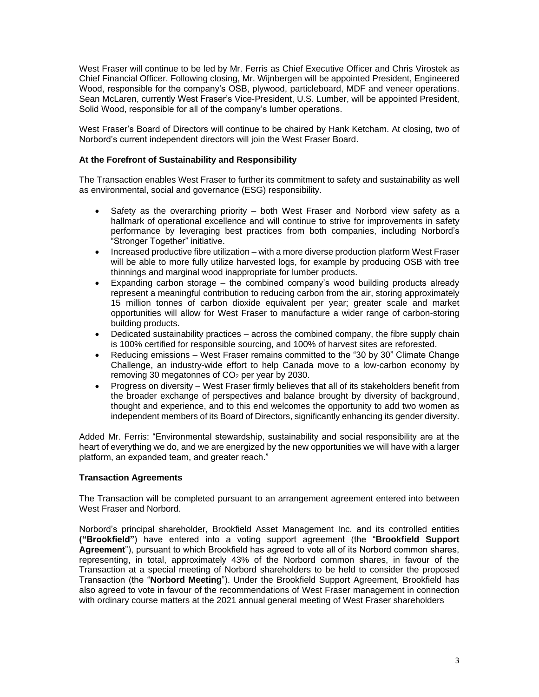West Fraser will continue to be led by Mr. Ferris as Chief Executive Officer and Chris Virostek as Chief Financial Officer. Following closing, Mr. Wijnbergen will be appointed President, Engineered Wood, responsible for the company's OSB, plywood, particleboard, MDF and veneer operations. Sean McLaren, currently West Fraser's Vice-President, U.S. Lumber, will be appointed President, Solid Wood, responsible for all of the company's lumber operations.

West Fraser's Board of Directors will continue to be chaired by Hank Ketcham. At closing, two of Norbord's current independent directors will join the West Fraser Board.

# **At the Forefront of Sustainability and Responsibility**

The Transaction enables West Fraser to further its commitment to safety and sustainability as well as environmental, social and governance (ESG) responsibility.

- Safety as the overarching priority both West Fraser and Norbord view safety as a hallmark of operational excellence and will continue to strive for improvements in safety performance by leveraging best practices from both companies, including Norbord's "Stronger Together" initiative.
- Increased productive fibre utilization with a more diverse production platform West Fraser will be able to more fully utilize harvested logs, for example by producing OSB with tree thinnings and marginal wood inappropriate for lumber products.
- Expanding carbon storage the combined company's wood building products already represent a meaningful contribution to reducing carbon from the air, storing approximately 15 million tonnes of carbon dioxide equivalent per year; greater scale and market opportunities will allow for West Fraser to manufacture a wider range of carbon-storing building products.
- Dedicated sustainability practices across the combined company, the fibre supply chain is 100% certified for responsible sourcing, and 100% of harvest sites are reforested.
- Reducing emissions West Fraser remains committed to the "30 by 30" Climate Change Challenge, an industry-wide effort to help Canada move to a low-carbon economy by removing 30 megatonnes of CO<sup>2</sup> per year by 2030.
- Progress on diversity West Fraser firmly believes that all of its stakeholders benefit from the broader exchange of perspectives and balance brought by diversity of background, thought and experience, and to this end welcomes the opportunity to add two women as independent members of its Board of Directors, significantly enhancing its gender diversity.

Added Mr. Ferris: "Environmental stewardship, sustainability and social responsibility are at the heart of everything we do, and we are energized by the new opportunities we will have with a larger platform, an expanded team, and greater reach."

### **Transaction Agreements**

The Transaction will be completed pursuant to an arrangement agreement entered into between West Fraser and Norbord.

Norbord's principal shareholder, Brookfield Asset Management Inc. and its controlled entities **("Brookfield"**) have entered into a voting support agreement (the "**Brookfield Support Agreement**"), pursuant to which Brookfield has agreed to vote all of its Norbord common shares, representing, in total, approximately 43% of the Norbord common shares, in favour of the Transaction at a special meeting of Norbord shareholders to be held to consider the proposed Transaction (the "**Norbord Meeting**"). Under the Brookfield Support Agreement, Brookfield has also agreed to vote in favour of the recommendations of West Fraser management in connection with ordinary course matters at the 2021 annual general meeting of West Fraser shareholders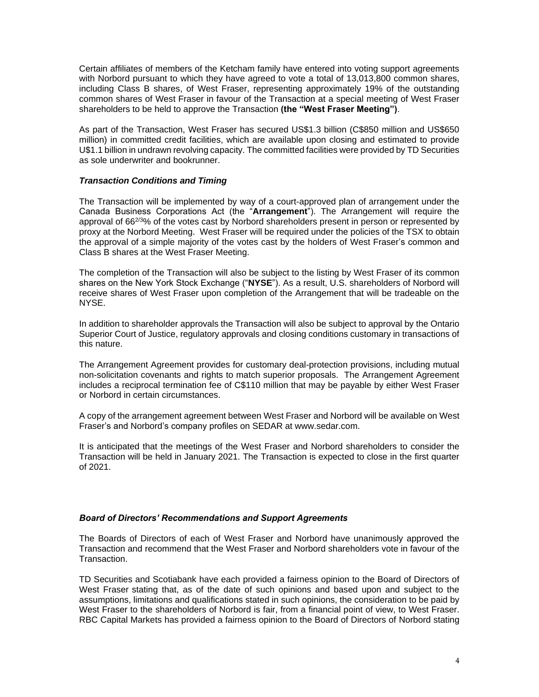Certain affiliates of members of the Ketcham family have entered into voting support agreements with Norbord pursuant to which they have agreed to vote a total of 13,013,800 common shares, including Class B shares, of West Fraser, representing approximately 19% of the outstanding common shares of West Fraser in favour of the Transaction at a special meeting of West Fraser shareholders to be held to approve the Transaction **(the "West Fraser Meeting")**.

As part of the Transaction, West Fraser has secured US\$1.3 billion (C\$850 million and US\$650 million) in committed credit facilities, which are available upon closing and estimated to provide U\$1.1 billion in undrawn revolving capacity. The committed facilities were provided by TD Securities as sole underwriter and bookrunner.

### *Transaction Conditions and Timing*

The Transaction will be implemented by way of a court-approved plan of arrangement under the Canada Business Corporations Act (the "**Arrangement**"). The Arrangement will require the approval of  $66^{2/3}\%$  of the votes cast by Norbord shareholders present in person or represented by proxy at the Norbord Meeting. West Fraser will be required under the policies of the TSX to obtain the approval of a simple majority of the votes cast by the holders of West Fraser's common and Class B shares at the West Fraser Meeting.

The completion of the Transaction will also be subject to the listing by West Fraser of its common shares on the New York Stock Exchange ("**NYSE**"). As a result, U.S. shareholders of Norbord will receive shares of West Fraser upon completion of the Arrangement that will be tradeable on the NYSE.

In addition to shareholder approvals the Transaction will also be subject to approval by the Ontario Superior Court of Justice, regulatory approvals and closing conditions customary in transactions of this nature.

The Arrangement Agreement provides for customary deal-protection provisions, including mutual non-solicitation covenants and rights to match superior proposals. The Arrangement Agreement includes a reciprocal termination fee of C\$110 million that may be payable by either West Fraser or Norbord in certain circumstances.

A copy of the arrangement agreement between West Fraser and Norbord will be available on West Fraser's and Norbord's company profiles on SEDAR at www.sedar.com.

It is anticipated that the meetings of the West Fraser and Norbord shareholders to consider the Transaction will be held in January 2021. The Transaction is expected to close in the first quarter of 2021.

# *Board of Directors' Recommendations and Support Agreements*

The Boards of Directors of each of West Fraser and Norbord have unanimously approved the Transaction and recommend that the West Fraser and Norbord shareholders vote in favour of the **Transaction** 

TD Securities and Scotiabank have each provided a fairness opinion to the Board of Directors of West Fraser stating that, as of the date of such opinions and based upon and subject to the assumptions, limitations and qualifications stated in such opinions, the consideration to be paid by West Fraser to the shareholders of Norbord is fair, from a financial point of view, to West Fraser. RBC Capital Markets has provided a fairness opinion to the Board of Directors of Norbord stating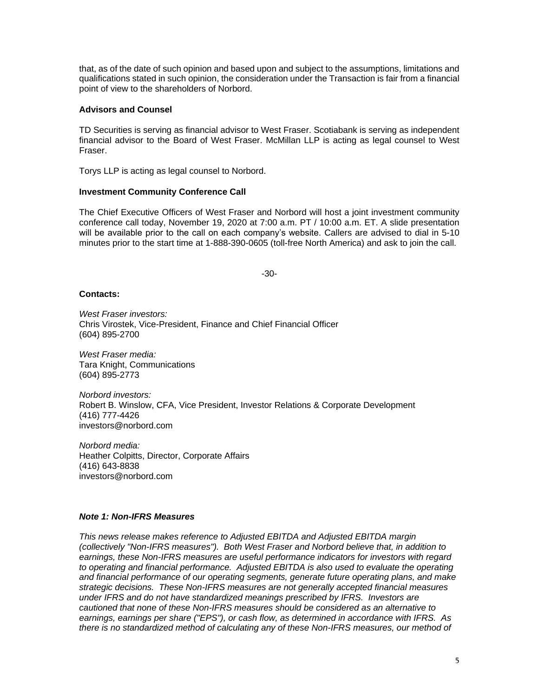that, as of the date of such opinion and based upon and subject to the assumptions, limitations and qualifications stated in such opinion, the consideration under the Transaction is fair from a financial point of view to the shareholders of Norbord.

### **Advisors and Counsel**

TD Securities is serving as financial advisor to West Fraser. Scotiabank is serving as independent financial advisor to the Board of West Fraser. McMillan LLP is acting as legal counsel to West Fraser.

Torys LLP is acting as legal counsel to Norbord.

# **Investment Community Conference Call**

The Chief Executive Officers of West Fraser and Norbord will host a joint investment community conference call today, November 19, 2020 at 7:00 a.m. PT / 10:00 a.m. ET. A slide presentation will be available prior to the call on each company's website. Callers are advised to dial in 5-10 minutes prior to the start time at 1-888-390-0605 (toll-free North America) and ask to join the call.

-30-

#### **Contacts:**

*West Fraser investors:*  Chris Virostek, Vice-President, Finance and Chief Financial Officer (604) 895-2700

*West Fraser media:* Tara Knight, Communications (604) 895-2773

*Norbord investors:* Robert B. Winslow, CFA, Vice President, Investor Relations & Corporate Development (416) 777-4426 investors@norbord.com

*Norbord media:* Heather Colpitts, Director, Corporate Affairs (416) 643-8838 investors@norbord.com

### *Note 1: Non-IFRS Measures*

*This news release makes reference to Adjusted EBITDA and Adjusted EBITDA margin (collectively "Non-IFRS measures"). Both West Fraser and Norbord believe that, in addition to earnings, these Non-IFRS measures are useful performance indicators for investors with regard to operating and financial performance. Adjusted EBITDA is also used to evaluate the operating and financial performance of our operating segments, generate future operating plans, and make strategic decisions. These Non-IFRS measures are not generally accepted financial measures under IFRS and do not have standardized meanings prescribed by IFRS. Investors are cautioned that none of these Non-IFRS measures should be considered as an alternative to earnings, earnings per share ("EPS"), or cash flow, as determined in accordance with IFRS. As there is no standardized method of calculating any of these Non-IFRS measures, our method of*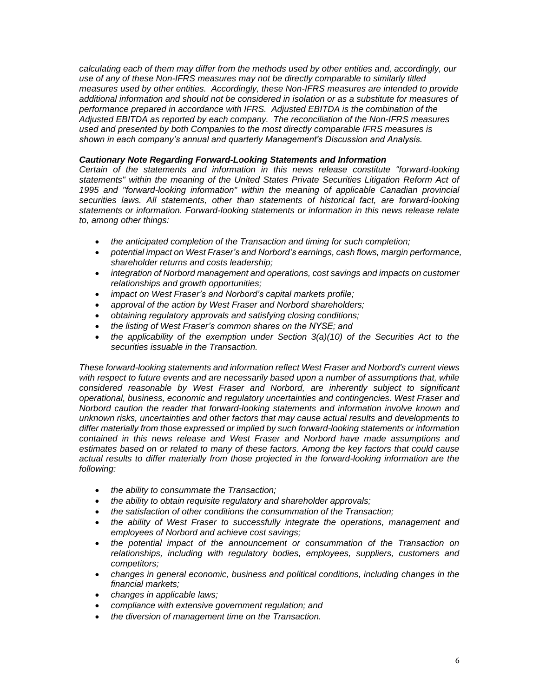*calculating each of them may differ from the methods used by other entities and, accordingly, our use of any of these Non-IFRS measures may not be directly comparable to similarly titled measures used by other entities. Accordingly, these Non-IFRS measures are intended to provide additional information and should not be considered in isolation or as a substitute for measures of performance prepared in accordance with IFRS. Adjusted EBITDA is the combination of the Adjusted EBITDA as reported by each company. The reconciliation of the Non-IFRS measures used and presented by both Companies to the most directly comparable IFRS measures is shown in each company's annual and quarterly Management's Discussion and Analysis.*

# *Cautionary Note Regarding Forward-Looking Statements and Information*

*Certain of the statements and information in this news release constitute "forward-looking statements" within the meaning of the United States Private Securities Litigation Reform Act of 1995 and "forward-looking information" within the meaning of applicable Canadian provincial securities laws. All statements, other than statements of historical fact, are forward-looking statements or information. Forward-looking statements or information in this news release relate to, among other things:*

- *the anticipated completion of the Transaction and timing for such completion;*
- *potential impact on West Fraser's and Norbord's earnings, cash flows, margin performance, shareholder returns and costs leadership;*
- *integration of Norbord management and operations, cost savings and impacts on customer relationships and growth opportunities;*
- *impact on West Fraser's and Norbord's capital markets profile;*
- *approval of the action by West Fraser and Norbord shareholders;*
- *obtaining regulatory approvals and satisfying closing conditions;*
- *the listing of West Fraser's common shares on the NYSE; and*
- *the applicability of the exemption under Section 3(a)(10) of the Securities Act to the securities issuable in the Transaction.*

*These forward-looking statements and information reflect West Fraser and Norbord's current views with respect to future events and are necessarily based upon a number of assumptions that, while considered reasonable by West Fraser and Norbord, are inherently subject to significant operational, business, economic and regulatory uncertainties and contingencies. West Fraser and Norbord caution the reader that forward-looking statements and information involve known and unknown risks, uncertainties and other factors that may cause actual results and developments to differ materially from those expressed or implied by such forward-looking statements or information contained in this news release and West Fraser and Norbord have made assumptions and estimates based on or related to many of these factors. Among the key factors that could cause actual results to differ materially from those projected in the forward-looking information are the following:*

- *the ability to consummate the Transaction;*
- *the ability to obtain requisite regulatory and shareholder approvals;*
- *the satisfaction of other conditions the consummation of the Transaction;*
- *the ability of West Fraser to successfully integrate the operations, management and employees of Norbord and achieve cost savings;*
- *the potential impact of the announcement or consummation of the Transaction on relationships, including with regulatory bodies, employees, suppliers, customers and competitors;*
- *changes in general economic, business and political conditions, including changes in the financial markets;*
- *changes in applicable laws;*
- *compliance with extensive government regulation; and*
- *the diversion of management time on the Transaction.*